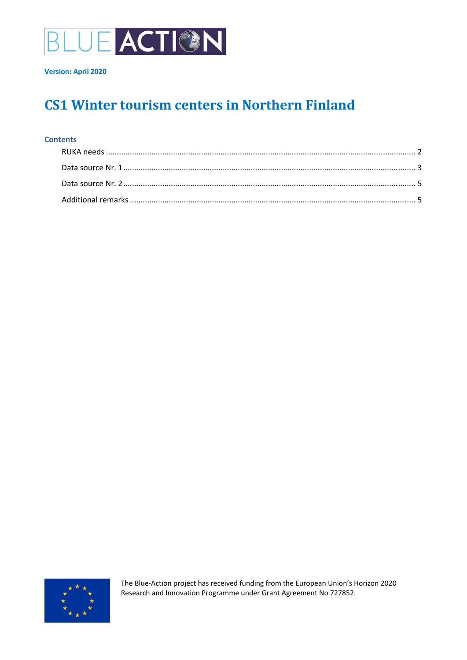

# **CS1 Winter tourism centers in Northern Finland**

#### **Contents**



The Blue‐Action project has received funding from the European Union's Horizon 2020 Research and Innovation Programme under Grant Agreement No 727852.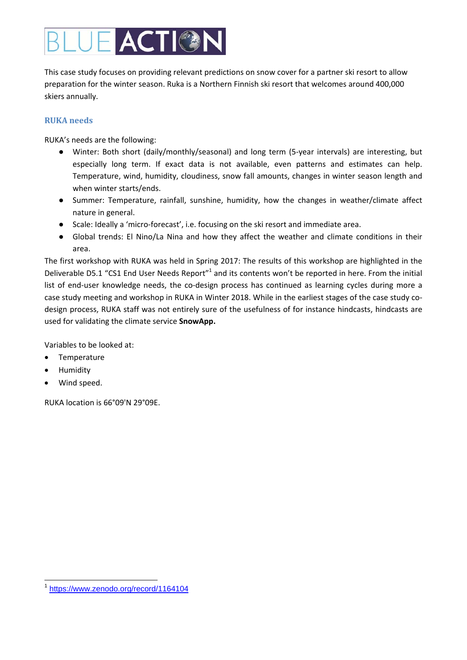# **ACTION**

This case study focuses on providing relevant predictions on snow cover for a partner ski resort to allow preparation for the winter season. Ruka is a Northern Finnish ski resort that welcomes around 400,000 skiers annually.

### **RUKA needs**

RUKA's needs are the following:

- Winter: Both short (daily/monthly/seasonal) and long term (5‐year intervals) are interesting, but especially long term. If exact data is not available, even patterns and estimates can help. Temperature, wind, humidity, cloudiness, snow fall amounts, changes in winter season length and when winter starts/ends.
- Summer: Temperature, rainfall, sunshine, humidity, how the changes in weather/climate affect nature in general.
- Scale: Ideally a 'micro-forecast', i.e. focusing on the ski resort and immediate area.
- Global trends: El Nino/La Nina and how they affect the weather and climate conditions in their area.

The first workshop with RUKA was held in Spring 2017: The results of this workshop are highlighted in the Deliverable D5.1 "CS1 End User Needs Report"<sup>1</sup> and its contents won't be reported in here. From the initial list of end-user knowledge needs, the co-design process has continued as learning cycles during more a case study meeting and workshop in RUKA in Winter 2018. While in the earliest stages of the case study codesign process, RUKA staff was not entirely sure of the usefulness of for instance hindcasts, hindcasts are used for validating the climate service **SnowApp.**

Variables to be looked at:

- Temperature
- Humidity
- Wind speed.

RUKA location is 66°09'N 29°09E.

 $\overline{a}$ <sup>1</sup> https://www.zenodo.org/record/1164104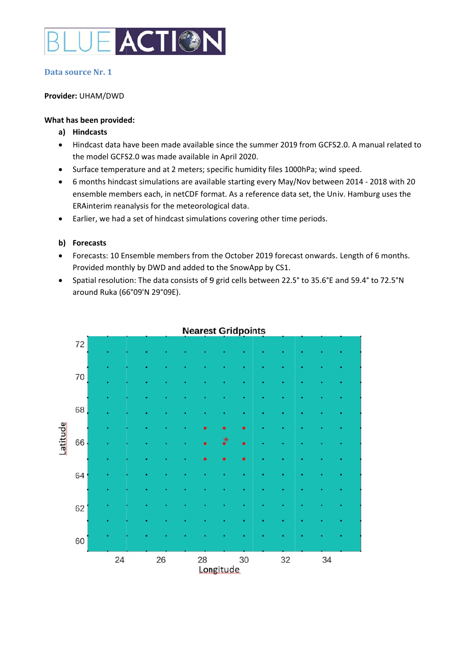

#### Data source Nr. 1

#### Provider: UHAM/DWD

#### What has been provided:

- a) Hindcasts
- Hindcast data have been made available since the summer 2019 from GCFS2.0. A manual related to  $\bullet$ the model GCFS2.0 was made available in April 2020.
- Surface temperature and at 2 meters; specific humidity files 1000hPa; wind speed.  $\bullet$
- 6 months hindcast simulations are available starting every May/Nov between 2014 2018 with 20  $\bullet$ ensemble members each, in netCDF format. As a reference data set, the Univ. Hamburg uses the ERAinterim reanalysis for the meteorological data.
- Earlier, we had a set of hindcast simulations covering other time periods.  $\bullet$

#### b) Forecasts

- Forecasts: 10 Ensemble members from the October 2019 forecast onwards. Length of 6 months.  $\bullet$ Provided monthly by DWD and added to the SnowApp by CS1.
- Spatial resolution: The data consists of 9 grid cells between 22.5° to 35.6°E and 59.4° to 72.5°N  $\bullet$ around Ruka (66°09'N 29°09E).



## **Nearest Gridpoints**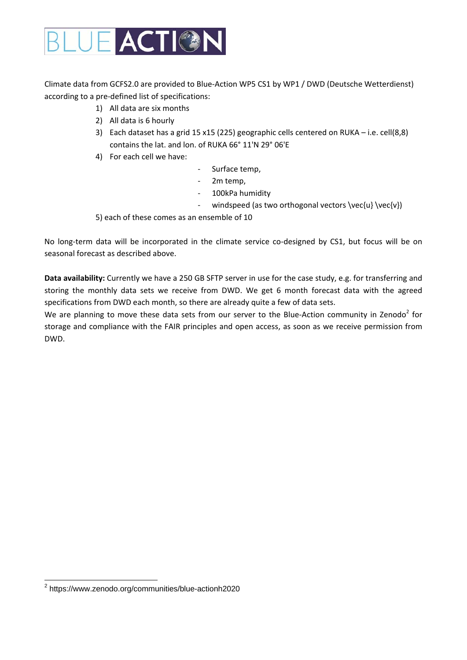

Climate data from GCFS2.0 are provided to Blue‐Action WP5 CS1 by WP1 / DWD (Deutsche Wetterdienst) according to a pre‐defined list of specifications:

- 1) All data are six months
- 2) All data is 6 hourly
- 3) Each dataset has a grid 15 x15 (225) geographic cells centered on RUKA i.e. cell(8,8) contains the lat. and lon. of RUKA 66° 11'N 29° 06'E
- 4) For each cell we have:
- ‐ Surface temp,
- ‐ 2m temp,
- ‐ 100kPa humidity
- windspeed (as two orthogonal vectors \vec{u} \vec{v})

5) each of these comes as an ensemble of 10

No long-term data will be incorporated in the climate service co-designed by CS1, but focus will be on seasonal forecast as described above.

**Data availability:** Currently we have a 250 GB SFTP server in use for the case study, e.g. for transferring and storing the monthly data sets we receive from DWD. We get 6 month forecast data with the agreed specifications from DWD each month, so there are already quite a few of data sets.

We are planning to move these data sets from our server to the Blue-Action community in Zenodo<sup>2</sup> for storage and compliance with the FAIR principles and open access, as soon as we receive permission from DWD.

 2 https://www.zenodo.org/communities/blue-actionh2020